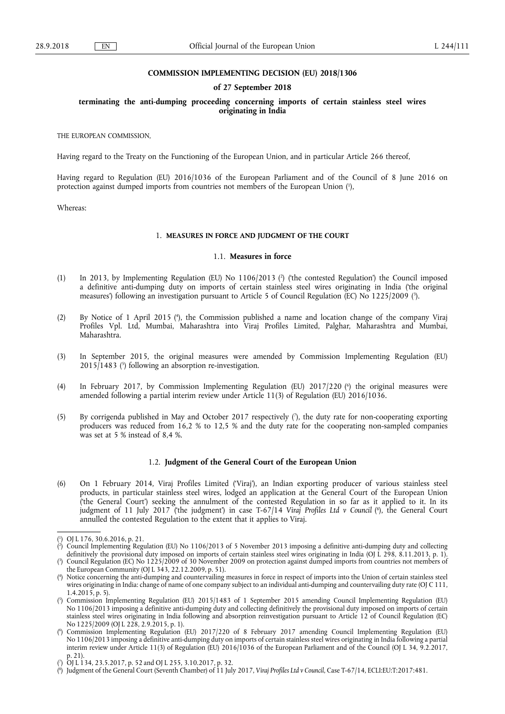#### **COMMISSION IMPLEMENTING DECISION (EU) 2018/1306**

## **of 27 September 2018**

## **terminating the anti-dumping proceeding concerning imports of certain stainless steel wires originating in India**

THE EUROPEAN COMMISSION,

Having regard to the Treaty on the Functioning of the European Union, and in particular Article 266 thereof,

Having regard to Regulation (EU) 2016/1036 of the European Parliament and of the Council of 8 June 2016 on protection against dumped imports from countries not members of the European Union (1),

Whereas:

## 1. **MEASURES IN FORCE AND JUDGMENT OF THE COURT**

#### 1.1. **Measures in force**

- (1) In 2013, by Implementing Regulation (EU) No 1106/2013 ( 2 ) ('the contested Regulation') the Council imposed a definitive anti-dumping duty on imports of certain stainless steel wires originating in India ('the original measures') following an investigation pursuant to Article 5 of Council Regulation (EC) No 1225/2009 ( 3 ).
- (2) By Notice of 1 April 2015 ( 4 ), the Commission published a name and location change of the company Viraj Profiles Vpl. Ltd, Mumbai, Maharashtra into Viraj Profiles Limited, Palghar, Maharashtra and Mumbai, Maharashtra.
- (3) In September 2015, the original measures were amended by Commission Implementing Regulation (EU) 2015/1483 ( 5 ) following an absorption re-investigation.
- (4) In February 2017, by Commission Implementing Regulation (EU) 2017/220 ( 6 ) the original measures were amended following a partial interim review under Article 11(3) of Regulation (EU) 2016/1036.
- (5) By corrigenda published in May and October 2017 respectively ( 7 ), the duty rate for non-cooperating exporting producers was reduced from 16,2 % to 12,5 % and the duty rate for the cooperating non-sampled companies was set at 5 % instead of 8,4 %.

## 1.2. **Judgment of the General Court of the European Union**

(6) On 1 February 2014, Viraj Profiles Limited ('Viraj'), an Indian exporting producer of various stainless steel products, in particular stainless steel wires, lodged an application at the General Court of the European Union ('the General Court') seeking the annulment of the contested Regulation in so far as it applied to it. In its judgment of 11 July 2017 ('the judgment') in case T-67/14 *Viraj Profiles Ltd v Council* ( 8 ), the General Court annulled the contested Regulation to the extent that it applies to Viraj.

<sup>(</sup> 1 ) OJ L 176, 30.6.2016, p. 21.

<sup>(</sup> 2 ) Council Implementing Regulation (EU) No 1106/2013 of 5 November 2013 imposing a definitive anti-dumping duty and collecting definitively the provisional duty imposed on imports of certain stainless steel wires originating in India (OJ L 298, 8.11.2013, p. 1). ( 3 ) Council Regulation (EC) No 1225/2009 of 30 November 2009 on protection against dumped imports from countries not members of

the European Community (OJ L 343, 22.12.2009, p. 51).

<sup>(</sup> 4 ) Notice concerning the anti-dumping and countervailing measures in force in respect of imports into the Union of certain stainless steel wires originating in India: change of name of one company subject to an individual anti-dumping and countervailing duty rate (OJ C 111,  $1.4.201\overline{5}$ , p. 5).

<sup>(</sup> 5 ) Commission Implementing Regulation (EU) 2015/1483 of 1 September 2015 amending Council Implementing Regulation (EU) No 1106/2013 imposing a definitive anti-dumping duty and collecting definitively the provisional duty imposed on imports of certain stainless steel wires originating in India following and absorption reinvestigation pursuant to Article 12 of Council Regulation (EC) No 1225/2009 (OJ L 228, 2.9.2015, p. 1).

<sup>(</sup> 6 ) Commission Implementing Regulation (EU) 2017/220 of 8 February 2017 amending Council Implementing Regulation (EU) No 1106/2013 imposing a definitive anti-dumping duty on imports of certain stainless steel wires originating in India following a partial interim review under Article 11(3) of Regulation (EU) 2016/1036 of the European Parliament and of the Council (OJ L 34, 9.2.2017, p. 21).

<sup>(</sup> 7 ) OJ L 134, 23.5.2017, p. 52 and OJ L 255, 3.10.2017, p. 32.

<sup>(</sup> 8 ) Judgment of the General Court (Seventh Chamber) of 11 July 2017, *Viraj Profiles Ltd v Council*, Case T-67/14, ECLI:EU:T:2017:481.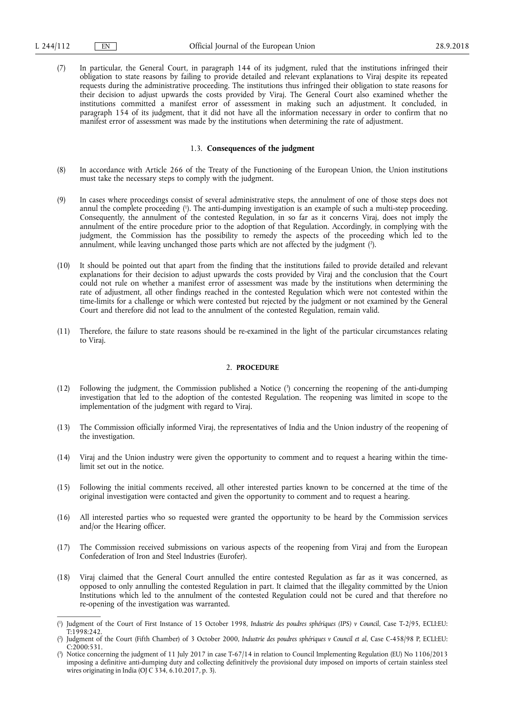(7) In particular, the General Court, in paragraph 144 of its judgment, ruled that the institutions infringed their obligation to state reasons by failing to provide detailed and relevant explanations to Viraj despite its repeated requests during the administrative proceeding. The institutions thus infringed their obligation to state reasons for their decision to adjust upwards the costs provided by Viraj. The General Court also examined whether the institutions committed a manifest error of assessment in making such an adjustment. It concluded, in paragraph 154 of its judgment, that it did not have all the information necessary in order to confirm that no manifest error of assessment was made by the institutions when determining the rate of adjustment.

# 1.3. **Consequences of the judgment**

- (8) In accordance with Article 266 of the Treaty of the Functioning of the European Union, the Union institutions must take the necessary steps to comply with the judgment.
- (9) In cases where proceedings consist of several administrative steps, the annulment of one of those steps does not annul the complete proceeding ( 1 ). The anti-dumping investigation is an example of such a multi-step proceeding. Consequently, the annulment of the contested Regulation, in so far as it concerns Viraj, does not imply the annulment of the entire procedure prior to the adoption of that Regulation. Accordingly, in complying with the judgment, the Commission has the possibility to remedy the aspects of the proceeding which led to the annulment, while leaving unchanged those parts which are not affected by the judgment ( 2 ).
- (10) It should be pointed out that apart from the finding that the institutions failed to provide detailed and relevant explanations for their decision to adjust upwards the costs provided by Viraj and the conclusion that the Court could not rule on whether a manifest error of assessment was made by the institutions when determining the rate of adjustment, all other findings reached in the contested Regulation which were not contested within the time-limits for a challenge or which were contested but rejected by the judgment or not examined by the General Court and therefore did not lead to the annulment of the contested Regulation, remain valid.
- (11) Therefore, the failure to state reasons should be re-examined in the light of the particular circumstances relating to Viraj.

## 2. **PROCEDURE**

- (12) Following the judgment, the Commission published a Notice ( 3 ) concerning the reopening of the anti-dumping investigation that led to the adoption of the contested Regulation. The reopening was limited in scope to the implementation of the judgment with regard to Viraj.
- (13) The Commission officially informed Viraj, the representatives of India and the Union industry of the reopening of the investigation.
- (14) Viraj and the Union industry were given the opportunity to comment and to request a hearing within the timelimit set out in the notice.
- (15) Following the initial comments received, all other interested parties known to be concerned at the time of the original investigation were contacted and given the opportunity to comment and to request a hearing.
- (16) All interested parties who so requested were granted the opportunity to be heard by the Commission services and/or the Hearing officer.
- (17) The Commission received submissions on various aspects of the reopening from Viraj and from the European Confederation of Iron and Steel Industries (Eurofer).
- (18) Viraj claimed that the General Court annulled the entire contested Regulation as far as it was concerned, as opposed to only annulling the contested Regulation in part. It claimed that the illegality committed by the Union Institutions which led to the annulment of the contested Regulation could not be cured and that therefore no re-opening of the investigation was warranted.

<sup>(</sup> 1 ) Judgment of the Court of First Instance of 15 October 1998, *Industrie des poudres sphériques (IPS) v Council*, Case T-2/95, ECLI:EU:  $T:1998:242.$ 

<sup>(</sup> 2 ) Judgment of the Court (Fifth Chamber) of 3 October 2000, *Industrie des poudres sphériques v Council et al*, Case C-458/98 P, ECLI:EU:  $C:2000:531.$ 

<sup>(</sup> 3 ) Notice concerning the judgment of 11 July 2017 in case T-67/14 in relation to Council Implementing Regulation (EU) No 1106/2013 imposing a definitive anti-dumping duty and collecting definitively the provisional duty imposed on imports of certain stainless steel wires originating in India (OJ C 334, 6.10.2017, p. 3).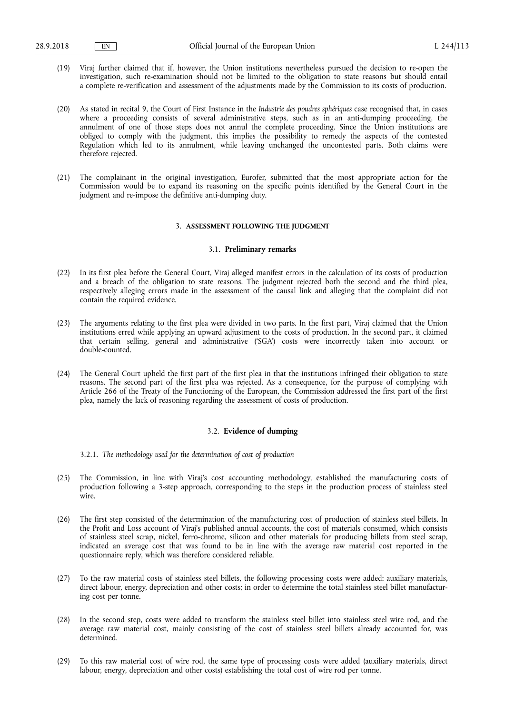- (19) Viraj further claimed that if, however, the Union institutions nevertheless pursued the decision to re-open the investigation, such re-examination should not be limited to the obligation to state reasons but should entail a complete re-verification and assessment of the adjustments made by the Commission to its costs of production.
- (20) As stated in recital 9, the Court of First Instance in the *Industrie des poudres sphériques* case recognised that, in cases where a proceeding consists of several administrative steps, such as in an anti-dumping proceeding, the annulment of one of those steps does not annul the complete proceeding. Since the Union institutions are obliged to comply with the judgment, this implies the possibility to remedy the aspects of the contested Regulation which led to its annulment, while leaving unchanged the uncontested parts. Both claims were therefore rejected.
- (21) The complainant in the original investigation, Eurofer, submitted that the most appropriate action for the Commission would be to expand its reasoning on the specific points identified by the General Court in the judgment and re-impose the definitive anti-dumping duty.

#### 3. **ASSESSMENT FOLLOWING THE JUDGMENT**

#### 3.1. **Preliminary remarks**

- (22) In its first plea before the General Court, Viraj alleged manifest errors in the calculation of its costs of production and a breach of the obligation to state reasons. The judgment rejected both the second and the third plea, respectively alleging errors made in the assessment of the causal link and alleging that the complaint did not contain the required evidence.
- (23) The arguments relating to the first plea were divided in two parts. In the first part, Viraj claimed that the Union institutions erred while applying an upward adjustment to the costs of production. In the second part, it claimed that certain selling, general and administrative ('SGA') costs were incorrectly taken into account or double-counted.
- (24) The General Court upheld the first part of the first plea in that the institutions infringed their obligation to state reasons. The second part of the first plea was rejected. As a consequence, for the purpose of complying with Article 266 of the Treaty of the Functioning of the European, the Commission addressed the first part of the first plea, namely the lack of reasoning regarding the assessment of costs of production.

### 3.2. **Evidence of dumping**

3.2.1. *The methodology used for the determination of cost of production* 

- (25) The Commission, in line with Viraj's cost accounting methodology, established the manufacturing costs of production following a 3-step approach, corresponding to the steps in the production process of stainless steel wire.
- (26) The first step consisted of the determination of the manufacturing cost of production of stainless steel billets. In the Profit and Loss account of Viraj's published annual accounts, the cost of materials consumed, which consists of stainless steel scrap, nickel, ferro-chrome, silicon and other materials for producing billets from steel scrap, indicated an average cost that was found to be in line with the average raw material cost reported in the questionnaire reply, which was therefore considered reliable.
- (27) To the raw material costs of stainless steel billets, the following processing costs were added: auxiliary materials, direct labour, energy, depreciation and other costs; in order to determine the total stainless steel billet manufacturing cost per tonne.
- (28) In the second step, costs were added to transform the stainless steel billet into stainless steel wire rod, and the average raw material cost, mainly consisting of the cost of stainless steel billets already accounted for, was determined.
- (29) To this raw material cost of wire rod, the same type of processing costs were added (auxiliary materials, direct labour, energy, depreciation and other costs) establishing the total cost of wire rod per tonne.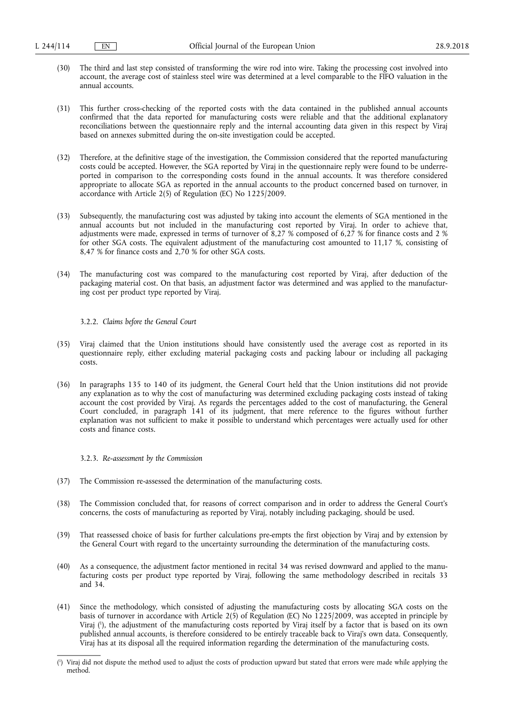- (30) The third and last step consisted of transforming the wire rod into wire. Taking the processing cost involved into account, the average cost of stainless steel wire was determined at a level comparable to the FIFO valuation in the annual accounts.
- (31) This further cross-checking of the reported costs with the data contained in the published annual accounts confirmed that the data reported for manufacturing costs were reliable and that the additional explanatory reconciliations between the questionnaire reply and the internal accounting data given in this respect by Viraj based on annexes submitted during the on-site investigation could be accepted.
- (32) Therefore, at the definitive stage of the investigation, the Commission considered that the reported manufacturing costs could be accepted. However, the SGA reported by Viraj in the questionnaire reply were found to be underreported in comparison to the corresponding costs found in the annual accounts. It was therefore considered appropriate to allocate SGA as reported in the annual accounts to the product concerned based on turnover, in accordance with Article 2(5) of Regulation (EC) No 1225/2009.
- (33) Subsequently, the manufacturing cost was adjusted by taking into account the elements of SGA mentioned in the annual accounts but not included in the manufacturing cost reported by Viraj. In order to achieve that, adjustments were made, expressed in terms of turnover of 8,27 % composed of 6,27 % for finance costs and 2 % for other SGA costs. The equivalent adjustment of the manufacturing cost amounted to 11,17 %, consisting of 8,47 % for finance costs and 2,70 % for other SGA costs.
- (34) The manufacturing cost was compared to the manufacturing cost reported by Viraj, after deduction of the packaging material cost. On that basis, an adjustment factor was determined and was applied to the manufacturing cost per product type reported by Viraj.

## 3.2.2. *Claims before the General Court*

- (35) Viraj claimed that the Union institutions should have consistently used the average cost as reported in its questionnaire reply, either excluding material packaging costs and packing labour or including all packaging costs.
- (36) In paragraphs 135 to 140 of its judgment, the General Court held that the Union institutions did not provide any explanation as to why the cost of manufacturing was determined excluding packaging costs instead of taking account the cost provided by Viraj. As regards the percentages added to the cost of manufacturing, the General Court concluded, in paragraph 141 of its judgment, that mere reference to the figures without further explanation was not sufficient to make it possible to understand which percentages were actually used for other costs and finance costs.

#### 3.2.3. *Re-assessment by the Commission*

- (37) The Commission re-assessed the determination of the manufacturing costs.
- (38) The Commission concluded that, for reasons of correct comparison and in order to address the General Court's concerns, the costs of manufacturing as reported by Viraj, notably including packaging, should be used.
- (39) That reassessed choice of basis for further calculations pre-empts the first objection by Viraj and by extension by the General Court with regard to the uncertainty surrounding the determination of the manufacturing costs.
- (40) As a consequence, the adjustment factor mentioned in recital 34 was revised downward and applied to the manufacturing costs per product type reported by Viraj, following the same methodology described in recitals 33 and 34.
- (41) Since the methodology, which consisted of adjusting the manufacturing costs by allocating SGA costs on the basis of turnover in accordance with Article 2(5) of Regulation (EC) No 1225/2009, was accepted in principle by Viraj ( 1 ), the adjustment of the manufacturing costs reported by Viraj itself by a factor that is based on its own published annual accounts, is therefore considered to be entirely traceable back to Viraj's own data. Consequently, Viraj has at its disposal all the required information regarding the determination of the manufacturing costs.

<sup>(</sup> 1 ) Viraj did not dispute the method used to adjust the costs of production upward but stated that errors were made while applying the method.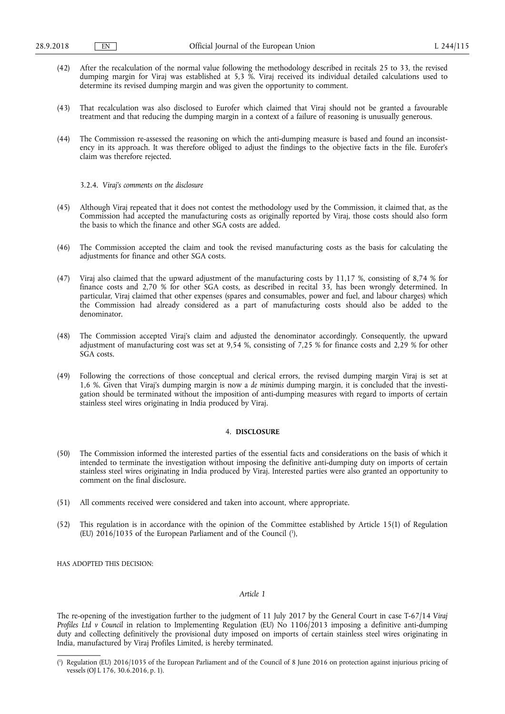- (42) After the recalculation of the normal value following the methodology described in recitals 25 to 33, the revised dumping margin for Viraj was established at 5,3 %. Viraj received its individual detailed calculations used to determine its revised dumping margin and was given the opportunity to comment.
- (43) That recalculation was also disclosed to Eurofer which claimed that Viraj should not be granted a favourable treatment and that reducing the dumping margin in a context of a failure of reasoning is unusually generous.
- (44) The Commission re-assessed the reasoning on which the anti-dumping measure is based and found an inconsistency in its approach. It was therefore obliged to adjust the findings to the objective facts in the file. Eurofer's claim was therefore rejected.

3.2.4. *Viraj's comments on the disclosure* 

- (45) Although Viraj repeated that it does not contest the methodology used by the Commission, it claimed that, as the Commission had accepted the manufacturing costs as originally reported by Viraj, those costs should also form the basis to which the finance and other SGA costs are added.
- (46) The Commission accepted the claim and took the revised manufacturing costs as the basis for calculating the adjustments for finance and other SGA costs.
- (47) Viraj also claimed that the upward adjustment of the manufacturing costs by 11,17 %, consisting of 8,74 % for finance costs and 2,70 % for other SGA costs, as described in recital 33, has been wrongly determined. In particular, Viraj claimed that other expenses (spares and consumables, power and fuel, and labour charges) which the Commission had already considered as a part of manufacturing costs should also be added to the denominator.
- (48) The Commission accepted Viraj's claim and adjusted the denominator accordingly. Consequently, the upward adjustment of manufacturing cost was set at 9,54 %, consisting of 7,25 % for finance costs and 2,29 % for other SGA costs.
- (49) Following the corrections of those conceptual and clerical errors, the revised dumping margin Viraj is set at 1,6 %. Given that Viraj's dumping margin is now a *de minimis* dumping margin, it is concluded that the investigation should be terminated without the imposition of anti-dumping measures with regard to imports of certain stainless steel wires originating in India produced by Viraj.

# 4. **DISCLOSURE**

- (50) The Commission informed the interested parties of the essential facts and considerations on the basis of which it intended to terminate the investigation without imposing the definitive anti-dumping duty on imports of certain stainless steel wires originating in India produced by Viraj. Interested parties were also granted an opportunity to comment on the final disclosure.
- (51) All comments received were considered and taken into account, where appropriate.
- (52) This regulation is in accordance with the opinion of the Committee established by Article 15(1) of Regulation (EU)  $2016/1035$  of the European Parliament and of the Council  $(1)$ ,

HAS ADOPTED THIS DECISION:

### *Article 1*

The re-opening of the investigation further to the judgment of 11 July 2017 by the General Court in case T-67/14 *Viraj Profiles Ltd v Council* in relation to Implementing Regulation (EU) No 1106/2013 imposing a definitive anti-dumping duty and collecting definitively the provisional duty imposed on imports of certain stainless steel wires originating in India, manufactured by Viraj Profiles Limited, is hereby terminated.

<sup>(</sup> 1 ) Regulation (EU) 2016/1035 of the European Parliament and of the Council of 8 June 2016 on protection against injurious pricing of vessels (OJ L 176, 30.6.2016, p. 1).